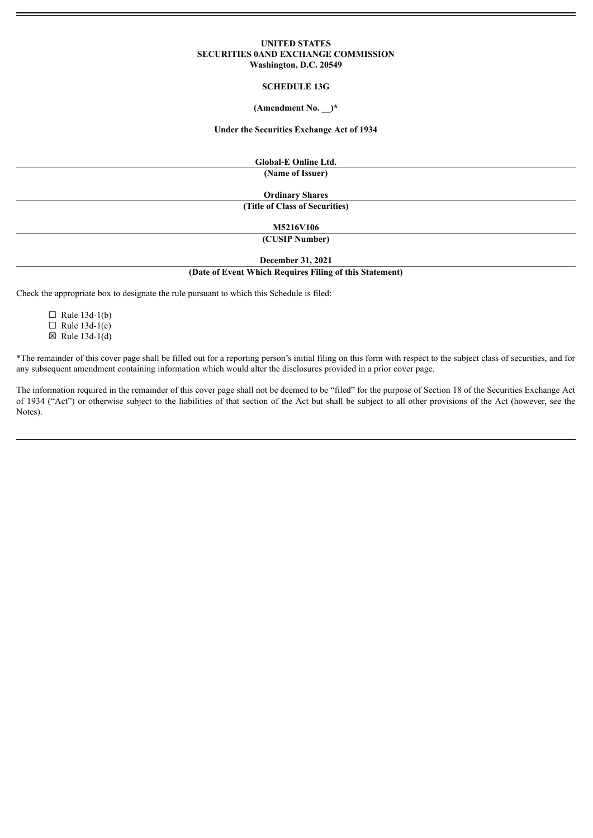### **UNITED STATES SECURITIES 0AND EXCHANGE COMMISSION Washington, D.C. 20549**

#### **SCHEDULE 13G**

#### **(Amendment No. \_\_)\***

#### **Under the Securities Exchange Act of 1934**

**Global-E Online Ltd.**

**(Name of Issuer)**

**Ordinary Shares (Title of Class of Securities)**

**M5216V106**

**(CUSIP Number)**

**December 31, 2021**

## **(Date of Event Which Requires Filing of this Statement)**

Check the appropriate box to designate the rule pursuant to which this Schedule is filed:

 $\Box$  Rule 13d-1(b)  $\Box$  Rule 13d-1(c)  $\boxtimes$  Rule 13d-1(d)

\*The remainder of this cover page shall be filled out for a reporting person's initial filing on this form with respect to the subject class of securities, and for any subsequent amendment containing information which would alter the disclosures provided in a prior cover page.

The information required in the remainder of this cover page shall not be deemed to be "filed" for the purpose of Section 18 of the Securities Exchange Act of 1934 ("Act") or otherwise subject to the liabilities of that section of the Act but shall be subject to all other provisions of the Act (however, see the Notes).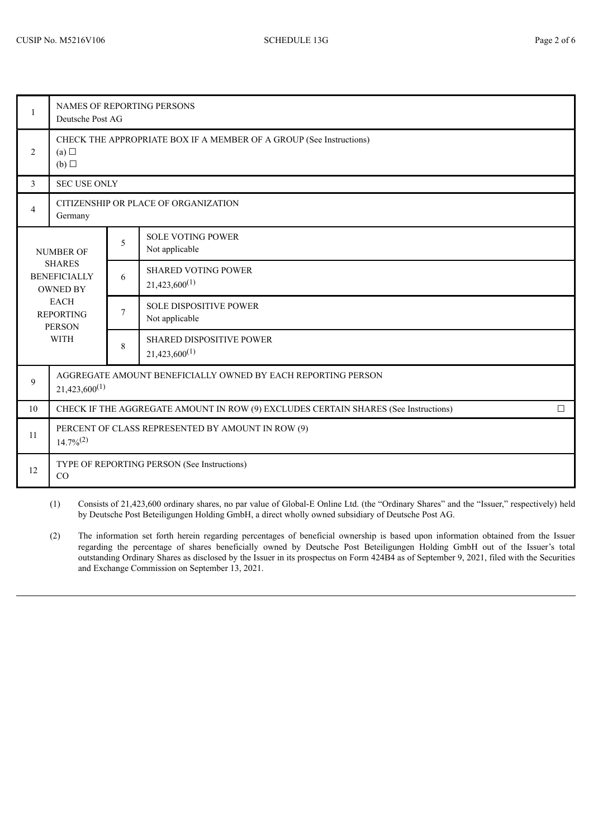| $\mathbf{1}$                                                                                                                                   | <b>NAMES OF REPORTING PERSONS</b><br>Deutsche Post AG                                         |                |                                                  |  |  |  |
|------------------------------------------------------------------------------------------------------------------------------------------------|-----------------------------------------------------------------------------------------------|----------------|--------------------------------------------------|--|--|--|
| $\overline{2}$                                                                                                                                 | CHECK THE APPROPRIATE BOX IF A MEMBER OF A GROUP (See Instructions)<br>(a)<br>(b)             |                |                                                  |  |  |  |
| 3                                                                                                                                              | <b>SEC USE ONLY</b>                                                                           |                |                                                  |  |  |  |
| $\overline{4}$                                                                                                                                 | CITIZENSHIP OR PLACE OF ORGANIZATION<br>Germany                                               |                |                                                  |  |  |  |
| <b>NUMBER OF</b><br><b>SHARES</b><br><b>BENEFICIALLY</b><br><b>OWNED BY</b><br><b>EACH</b><br><b>REPORTING</b><br><b>PERSON</b><br><b>WITH</b> |                                                                                               | 5              | <b>SOLE VOTING POWER</b><br>Not applicable       |  |  |  |
|                                                                                                                                                |                                                                                               | 6              | <b>SHARED VOTING POWER</b><br>$21,423,600^{(1)}$ |  |  |  |
|                                                                                                                                                |                                                                                               | $\overline{7}$ | <b>SOLE DISPOSITIVE POWER</b><br>Not applicable  |  |  |  |
|                                                                                                                                                |                                                                                               | 8              | SHARED DISPOSITIVE POWER<br>$21,423,600^{(1)}$   |  |  |  |
| 9                                                                                                                                              | AGGREGATE AMOUNT BENEFICIALLY OWNED BY EACH REPORTING PERSON<br>$21,423,600^{(1)}$            |                |                                                  |  |  |  |
| 10                                                                                                                                             | CHECK IF THE AGGREGATE AMOUNT IN ROW (9) EXCLUDES CERTAIN SHARES (See Instructions)<br>$\Box$ |                |                                                  |  |  |  |
| 11                                                                                                                                             | PERCENT OF CLASS REPRESENTED BY AMOUNT IN ROW (9)<br>$14.7\%/2)$                              |                |                                                  |  |  |  |
| 12                                                                                                                                             | TYPE OF REPORTING PERSON (See Instructions)<br>CO                                             |                |                                                  |  |  |  |

(1) Consists of 21,423,600 ordinary shares, no par value of Global-E Online Ltd. (the "Ordinary Shares" and the "Issuer," respectively) held by Deutsche Post Beteiligungen Holding GmbH, a direct wholly owned subsidiary of Deutsche Post AG.

(2) The information set forth herein regarding percentages of beneficial ownership is based upon information obtained from the Issuer regarding the percentage of shares beneficially owned by Deutsche Post Beteiligungen Holding GmbH out of the Issuer's total outstanding Ordinary Shares as disclosed by the Issuer in its prospectus on Form 424B4 as of September 9, 2021, filed with the Securities and Exchange Commission on September 13, 2021.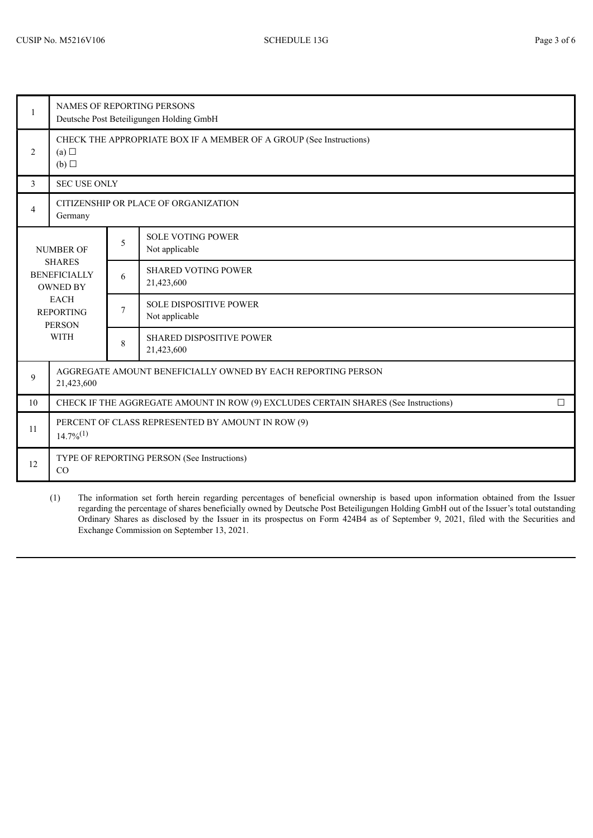| $\mathbf{1}$                                                                                                                                   | NAMES OF REPORTING PERSONS<br>Deutsche Post Beteiligungen Holding GmbH                        |                |                                                                     |  |  |  |
|------------------------------------------------------------------------------------------------------------------------------------------------|-----------------------------------------------------------------------------------------------|----------------|---------------------------------------------------------------------|--|--|--|
| $\overline{2}$                                                                                                                                 | (a)<br>(b)                                                                                    |                | CHECK THE APPROPRIATE BOX IF A MEMBER OF A GROUP (See Instructions) |  |  |  |
| $\mathfrak{Z}$                                                                                                                                 | <b>SEC USE ONLY</b>                                                                           |                |                                                                     |  |  |  |
| $\overline{4}$                                                                                                                                 | Germany                                                                                       |                | CITIZENSHIP OR PLACE OF ORGANIZATION                                |  |  |  |
| <b>NUMBER OF</b><br><b>SHARES</b><br><b>BENEFICIALLY</b><br><b>OWNED BY</b><br><b>EACH</b><br><b>REPORTING</b><br><b>PERSON</b><br><b>WITH</b> |                                                                                               | 5              | <b>SOLE VOTING POWER</b><br>Not applicable                          |  |  |  |
|                                                                                                                                                |                                                                                               | 6              | <b>SHARED VOTING POWER</b><br>21,423,600                            |  |  |  |
|                                                                                                                                                |                                                                                               | $\overline{7}$ | <b>SOLE DISPOSITIVE POWER</b><br>Not applicable                     |  |  |  |
|                                                                                                                                                |                                                                                               | 8              | <b>SHARED DISPOSITIVE POWER</b><br>21,423,600                       |  |  |  |
| 9                                                                                                                                              | AGGREGATE AMOUNT BENEFICIALLY OWNED BY EACH REPORTING PERSON<br>21,423,600                    |                |                                                                     |  |  |  |
| 10                                                                                                                                             | CHECK IF THE AGGREGATE AMOUNT IN ROW (9) EXCLUDES CERTAIN SHARES (See Instructions)<br>$\Box$ |                |                                                                     |  |  |  |
| 11                                                                                                                                             | PERCENT OF CLASS REPRESENTED BY AMOUNT IN ROW (9)<br>$14.7\%^{(1)}$                           |                |                                                                     |  |  |  |
| 12                                                                                                                                             | TYPE OF REPORTING PERSON (See Instructions)<br>CO                                             |                |                                                                     |  |  |  |

(1) The information set forth herein regarding percentages of beneficial ownership is based upon information obtained from the Issuer regarding the percentage of shares beneficially owned by Deutsche Post Beteiligungen Holding GmbH out of the Issuer's total outstanding Ordinary Shares as disclosed by the Issuer in its prospectus on Form 424B4 as of September 9, 2021, filed with the Securities and Exchange Commission on September 13, 2021.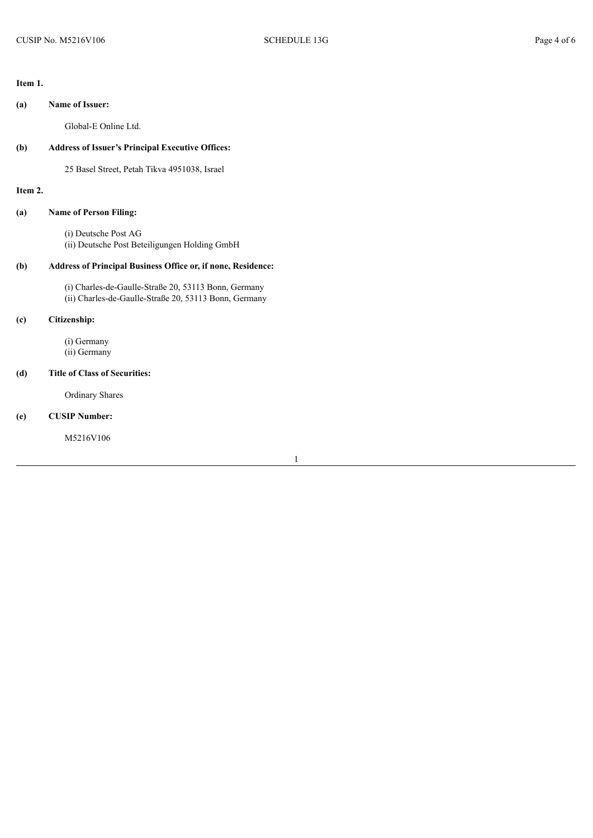## **Item 1.**

# **(a) Name of Issuer:**

Global-E Online Ltd.

# **(b) Address of Issuer's Principal Executive Offices:**

25 Basel Street, Petah Tikva 4951038, Israel

# **Item 2.**

# **(a) Name of Person Filing:**

(i) Deutsche Post AG (ii) Deutsche Post Beteiligungen Holding GmbH

# **(b) Address of Principal Business Office or, if none, Residence:**

(i) Charles-de-Gaulle-Straße 20, 53113 Bonn, Germany (ii) Charles-de-Gaulle-Straße 20, 53113 Bonn, Germany

# **(c) Citizenship:**

(i) Germany (ii) Germany

### **(d) Title of Class of Securities:**

Ordinary Shares

# **(e) CUSIP Number:**

M5216V106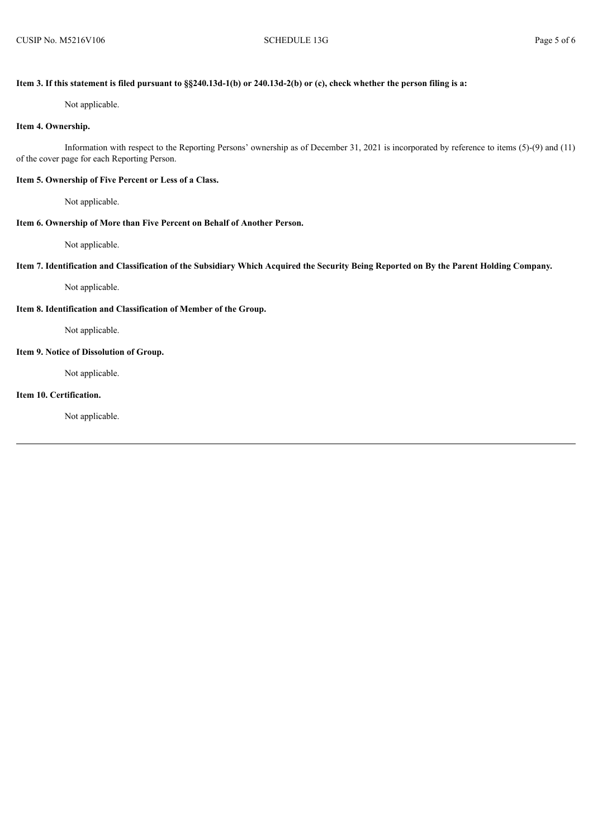## Item 3. If this statement is filed pursuant to §§240.13d-1(b) or 240.13d-2(b) or (c), check whether the person filing is a:

Not applicable.

# **Item 4. Ownership.**

Information with respect to the Reporting Persons' ownership as of December 31, 2021 is incorporated by reference to items (5)-(9) and (11) of the cover page for each Reporting Person.

# **Item 5. Ownership of Five Percent or Less of a Class.**

Not applicable.

### **Item 6. Ownership of More than Five Percent on Behalf of Another Person.**

Not applicable.

### Item 7. Identification and Classification of the Subsidiary Which Acquired the Security Being Reported on By the Parent Holding Company.

Not applicable.

### **Item 8. Identification and Classification of Member of the Group.**

Not applicable.

### **Item 9. Notice of Dissolution of Group.**

Not applicable.

## **Item 10. Certification.**

Not applicable.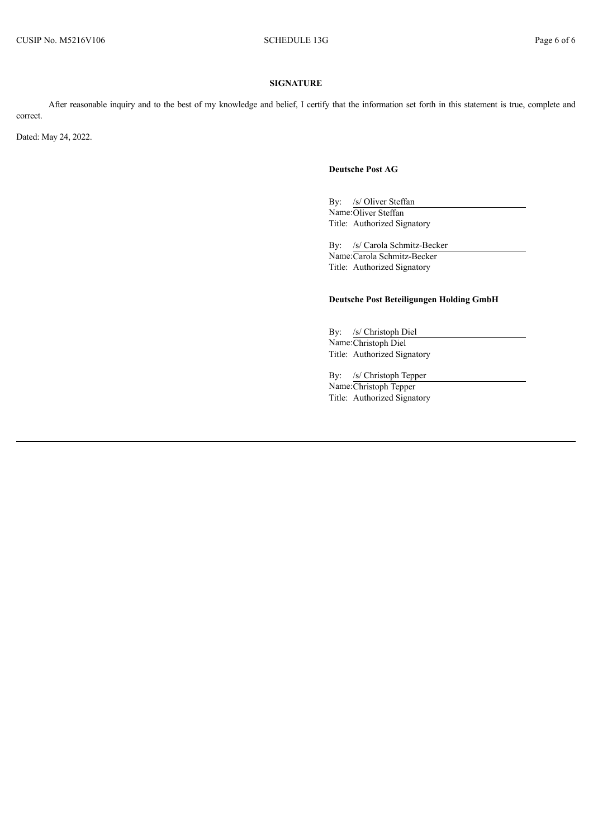### **SIGNATURE**

After reasonable inquiry and to the best of my knowledge and belief, I certify that the information set forth in this statement is true, complete and correct.

Dated: May 24, 2022.

# **Deutsche Post AG**

By: /s/ Oliver Steffan Name:Oliver Steffan Title: Authorized Signatory

By: /s/ Carola Schmitz-Becker Name:Carola Schmitz-Becker Title: Authorized Signatory

# **Deutsche Post Beteiligungen Holding GmbH**

By: /s/ Christoph Diel Name:Christoph Diel Title: Authorized Signatory

By: /s/ Christoph Tepper

Name:Christoph Tepper Title: Authorized Signatory